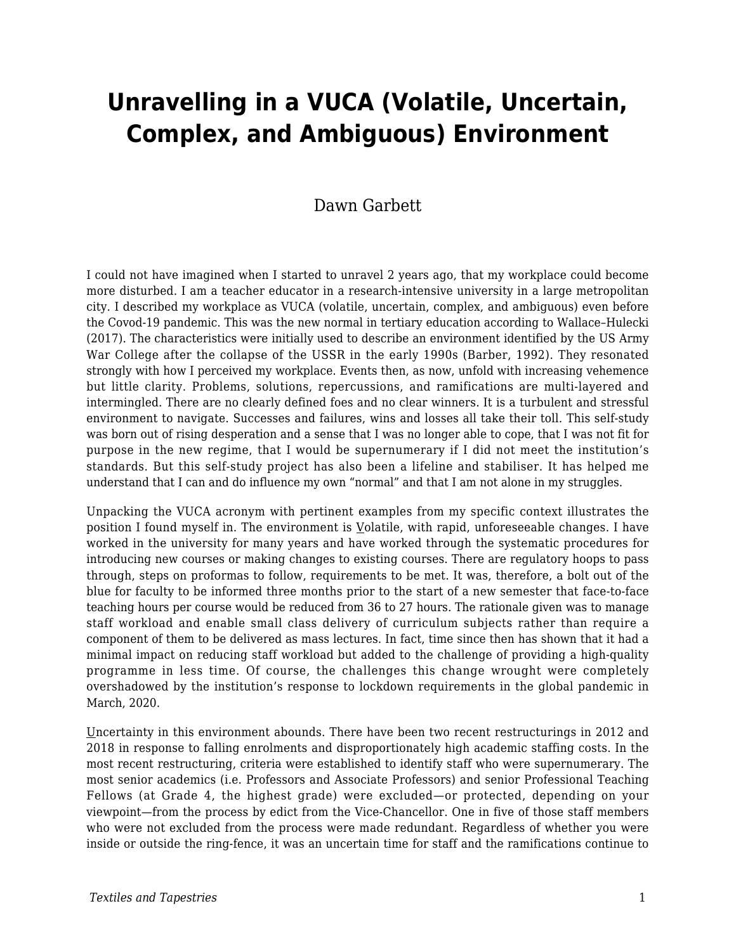# **Unravelling in a VUCA (Volatile, Uncertain, Complex, and Ambiguous) Environment**

### Dawn Garbett

I could not have imagined when I started to unravel 2 years ago, that my workplace could become more disturbed. I am a teacher educator in a research-intensive university in a large metropolitan city. I described my workplace as VUCA (volatile, uncertain, complex, and ambiguous) even before the Covod-19 pandemic. This was the new normal in tertiary education according to Wallace–Hulecki (2017). The characteristics were initially used to describe an environment identified by the US Army War College after the collapse of the USSR in the early 1990s (Barber, 1992). They resonated strongly with how I perceived my workplace. Events then, as now, unfold with increasing vehemence but little clarity. Problems, solutions, repercussions, and ramifications are multi-layered and intermingled. There are no clearly defined foes and no clear winners. It is a turbulent and stressful environment to navigate. Successes and failures, wins and losses all take their toll. This self-study was born out of rising desperation and a sense that I was no longer able to cope, that I was not fit for purpose in the new regime, that I would be supernumerary if I did not meet the institution's standards. But this self-study project has also been a lifeline and stabiliser. It has helped me understand that I can and do influence my own "normal" and that I am not alone in my struggles.

Unpacking the VUCA acronym with pertinent examples from my specific context illustrates the position I found myself in. The environment is Volatile, with rapid, unforeseeable changes. I have worked in the university for many years and have worked through the systematic procedures for introducing new courses or making changes to existing courses. There are regulatory hoops to pass through, steps on proformas to follow, requirements to be met. It was, therefore, a bolt out of the blue for faculty to be informed three months prior to the start of a new semester that face-to-face teaching hours per course would be reduced from 36 to 27 hours. The rationale given was to manage staff workload and enable small class delivery of curriculum subjects rather than require a component of them to be delivered as mass lectures. In fact, time since then has shown that it had a minimal impact on reducing staff workload but added to the challenge of providing a high-quality programme in less time. Of course, the challenges this change wrought were completely overshadowed by the institution's response to lockdown requirements in the global pandemic in March, 2020.

Uncertainty in this environment abounds. There have been two recent restructurings in 2012 and 2018 in response to falling enrolments and disproportionately high academic staffing costs. In the most recent restructuring, criteria were established to identify staff who were supernumerary. The most senior academics (i.e. Professors and Associate Professors) and senior Professional Teaching Fellows (at Grade 4, the highest grade) were excluded—or protected, depending on your viewpoint—from the process by edict from the Vice-Chancellor. One in five of those staff members who were not excluded from the process were made redundant. Regardless of whether you were inside or outside the ring-fence, it was an uncertain time for staff and the ramifications continue to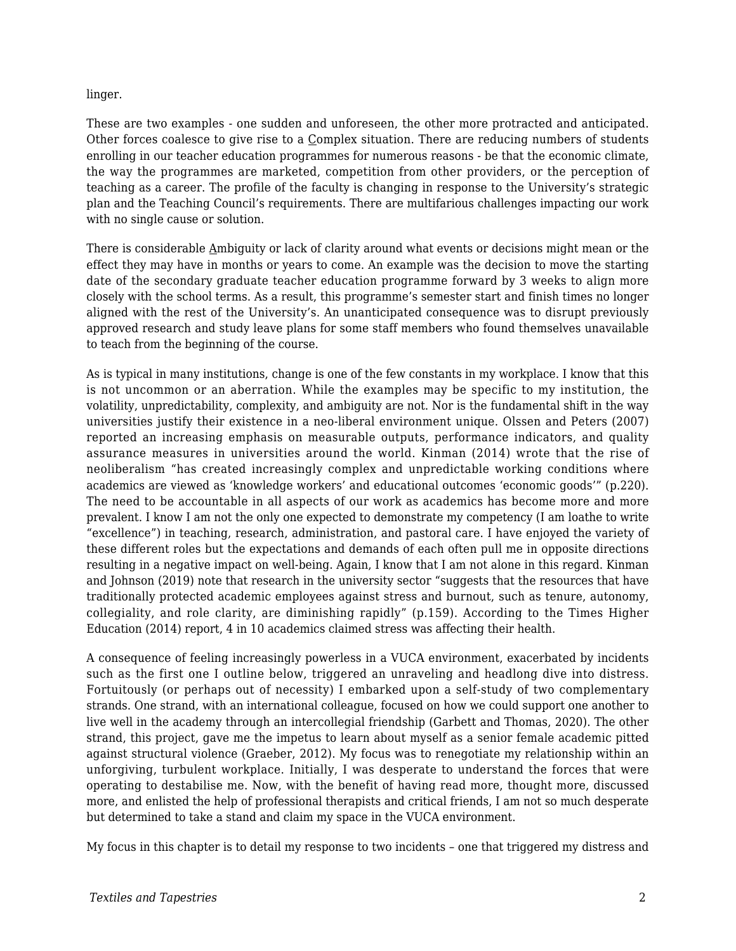#### linger.

These are two examples - one sudden and unforeseen, the other more protracted and anticipated. Other forces coalesce to give rise to a Complex situation. There are reducing numbers of students enrolling in our teacher education programmes for numerous reasons - be that the economic climate, the way the programmes are marketed, competition from other providers, or the perception of teaching as a career. The profile of the faculty is changing in response to the University's strategic plan and the Teaching Council's requirements. There are multifarious challenges impacting our work with no single cause or solution.

There is considerable Ambiguity or lack of clarity around what events or decisions might mean or the effect they may have in months or years to come. An example was the decision to move the starting date of the secondary graduate teacher education programme forward by 3 weeks to align more closely with the school terms. As a result, this programme's semester start and finish times no longer aligned with the rest of the University's. An unanticipated consequence was to disrupt previously approved research and study leave plans for some staff members who found themselves unavailable to teach from the beginning of the course.

As is typical in many institutions, change is one of the few constants in my workplace. I know that this is not uncommon or an aberration. While the examples may be specific to my institution, the volatility, unpredictability, complexity, and ambiguity are not. Nor is the fundamental shift in the way universities justify their existence in a neo-liberal environment unique. Olssen and Peters (2007) reported an increasing emphasis on measurable outputs, performance indicators, and quality assurance measures in universities around the world. Kinman (2014) wrote that the rise of neoliberalism "has created increasingly complex and unpredictable working conditions where academics are viewed as 'knowledge workers' and educational outcomes 'economic goods'" (p.220). The need to be accountable in all aspects of our work as academics has become more and more prevalent. I know I am not the only one expected to demonstrate my competency (I am loathe to write "excellence") in teaching, research, administration, and pastoral care. I have enjoyed the variety of these different roles but the expectations and demands of each often pull me in opposite directions resulting in a negative impact on well-being. Again, I know that I am not alone in this regard. Kinman and Johnson (2019) note that research in the university sector "suggests that the resources that have traditionally protected academic employees against stress and burnout, such as tenure, autonomy, collegiality, and role clarity, are diminishing rapidly" (p.159). According to the Times Higher Education (2014) report, 4 in 10 academics claimed stress was affecting their health.

A consequence of feeling increasingly powerless in a VUCA environment, exacerbated by incidents such as the first one I outline below, triggered an unraveling and headlong dive into distress. Fortuitously (or perhaps out of necessity) I embarked upon a self-study of two complementary strands. One strand, with an international colleague, focused on how we could support one another to live well in the academy through an intercollegial friendship (Garbett and Thomas, 2020). The other strand, this project, gave me the impetus to learn about myself as a senior female academic pitted against structural violence (Graeber, 2012). My focus was to renegotiate my relationship within an unforgiving, turbulent workplace. Initially, I was desperate to understand the forces that were operating to destabilise me. Now, with the benefit of having read more, thought more, discussed more, and enlisted the help of professional therapists and critical friends, I am not so much desperate but determined to take a stand and claim my space in the VUCA environment.

My focus in this chapter is to detail my response to two incidents – one that triggered my distress and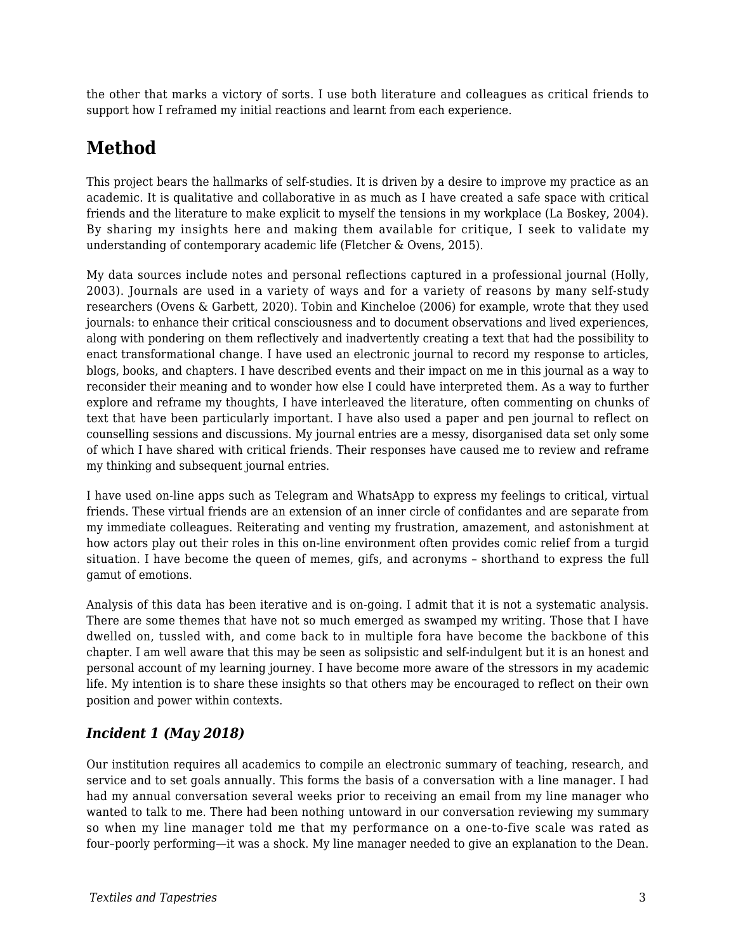the other that marks a victory of sorts. I use both literature and colleagues as critical friends to support how I reframed my initial reactions and learnt from each experience.

### **Method**

This project bears the hallmarks of self-studies. It is driven by a desire to improve my practice as an academic. It is qualitative and collaborative in as much as I have created a safe space with critical friends and the literature to make explicit to myself the tensions in my workplace (La Boskey, 2004). By sharing my insights here and making them available for critique, I seek to validate my understanding of contemporary academic life (Fletcher & Ovens, 2015).

My data sources include notes and personal reflections captured in a professional journal (Holly, 2003). Journals are used in a variety of ways and for a variety of reasons by many self-study researchers (Ovens & Garbett, 2020). Tobin and Kincheloe (2006) for example, wrote that they used journals: to enhance their critical consciousness and to document observations and lived experiences, along with pondering on them reflectively and inadvertently creating a text that had the possibility to enact transformational change. I have used an electronic journal to record my response to articles, blogs, books, and chapters. I have described events and their impact on me in this journal as a way to reconsider their meaning and to wonder how else I could have interpreted them. As a way to further explore and reframe my thoughts, I have interleaved the literature, often commenting on chunks of text that have been particularly important. I have also used a paper and pen journal to reflect on counselling sessions and discussions. My journal entries are a messy, disorganised data set only some of which I have shared with critical friends. Their responses have caused me to review and reframe my thinking and subsequent journal entries.

I have used on-line apps such as Telegram and WhatsApp to express my feelings to critical, virtual friends. These virtual friends are an extension of an inner circle of confidantes and are separate from my immediate colleagues. Reiterating and venting my frustration, amazement, and astonishment at how actors play out their roles in this on-line environment often provides comic relief from a turgid situation. I have become the queen of memes, gifs, and acronyms – shorthand to express the full gamut of emotions.

Analysis of this data has been iterative and is on-going. I admit that it is not a systematic analysis. There are some themes that have not so much emerged as swamped my writing. Those that I have dwelled on, tussled with, and come back to in multiple fora have become the backbone of this chapter. I am well aware that this may be seen as solipsistic and self-indulgent but it is an honest and personal account of my learning journey. I have become more aware of the stressors in my academic life. My intention is to share these insights so that others may be encouraged to reflect on their own position and power within contexts.

#### *Incident 1 (May 2018)*

Our institution requires all academics to compile an electronic summary of teaching, research, and service and to set goals annually. This forms the basis of a conversation with a line manager. I had had my annual conversation several weeks prior to receiving an email from my line manager who wanted to talk to me. There had been nothing untoward in our conversation reviewing my summary so when my line manager told me that my performance on a one-to-five scale was rated as four–poorly performing—it was a shock. My line manager needed to give an explanation to the Dean.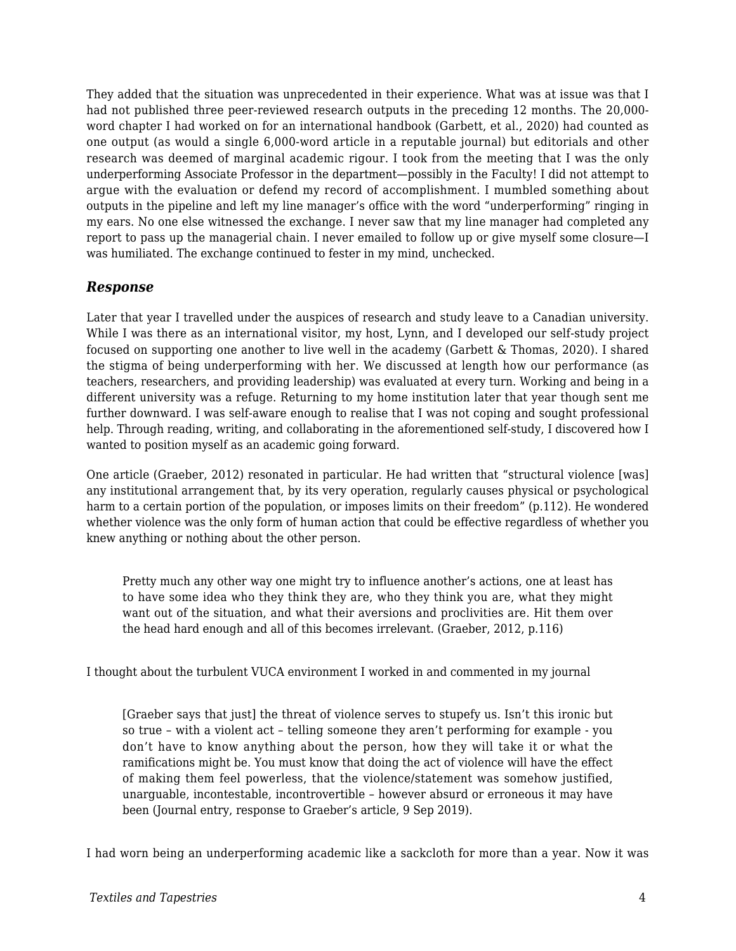They added that the situation was unprecedented in their experience. What was at issue was that I had not published three peer-reviewed research outputs in the preceding 12 months. The 20,000 word chapter I had worked on for an international handbook (Garbett, et al., 2020) had counted as one output (as would a single 6,000-word article in a reputable journal) but editorials and other research was deemed of marginal academic rigour. I took from the meeting that I was the only underperforming Associate Professor in the department—possibly in the Faculty! I did not attempt to argue with the evaluation or defend my record of accomplishment. I mumbled something about outputs in the pipeline and left my line manager's office with the word "underperforming" ringing in my ears. No one else witnessed the exchange. I never saw that my line manager had completed any report to pass up the managerial chain. I never emailed to follow up or give myself some closure—I was humiliated. The exchange continued to fester in my mind, unchecked.

#### *Response*

Later that year I travelled under the auspices of research and study leave to a Canadian university. While I was there as an international visitor, my host, Lynn, and I developed our self-study project focused on supporting one another to live well in the academy (Garbett & Thomas, 2020). I shared the stigma of being underperforming with her. We discussed at length how our performance (as teachers, researchers, and providing leadership) was evaluated at every turn. Working and being in a different university was a refuge. Returning to my home institution later that year though sent me further downward. I was self-aware enough to realise that I was not coping and sought professional help. Through reading, writing, and collaborating in the aforementioned self-study, I discovered how I wanted to position myself as an academic going forward.

One article (Graeber, 2012) resonated in particular. He had written that "structural violence [was] any institutional arrangement that, by its very operation, regularly causes physical or psychological harm to a certain portion of the population, or imposes limits on their freedom" (p.112). He wondered whether violence was the only form of human action that could be effective regardless of whether you knew anything or nothing about the other person.

Pretty much any other way one might try to influence another's actions, one at least has to have some idea who they think they are, who they think you are, what they might want out of the situation, and what their aversions and proclivities are. Hit them over the head hard enough and all of this becomes irrelevant. (Graeber, 2012, p.116)

I thought about the turbulent VUCA environment I worked in and commented in my journal

[Graeber says that just] the threat of violence serves to stupefy us. Isn't this ironic but so true – with a violent act – telling someone they aren't performing for example - you don't have to know anything about the person, how they will take it or what the ramifications might be. You must know that doing the act of violence will have the effect of making them feel powerless, that the violence/statement was somehow justified, unarguable, incontestable, incontrovertible – however absurd or erroneous it may have been (Journal entry, response to Graeber's article, 9 Sep 2019).

I had worn being an underperforming academic like a sackcloth for more than a year. Now it was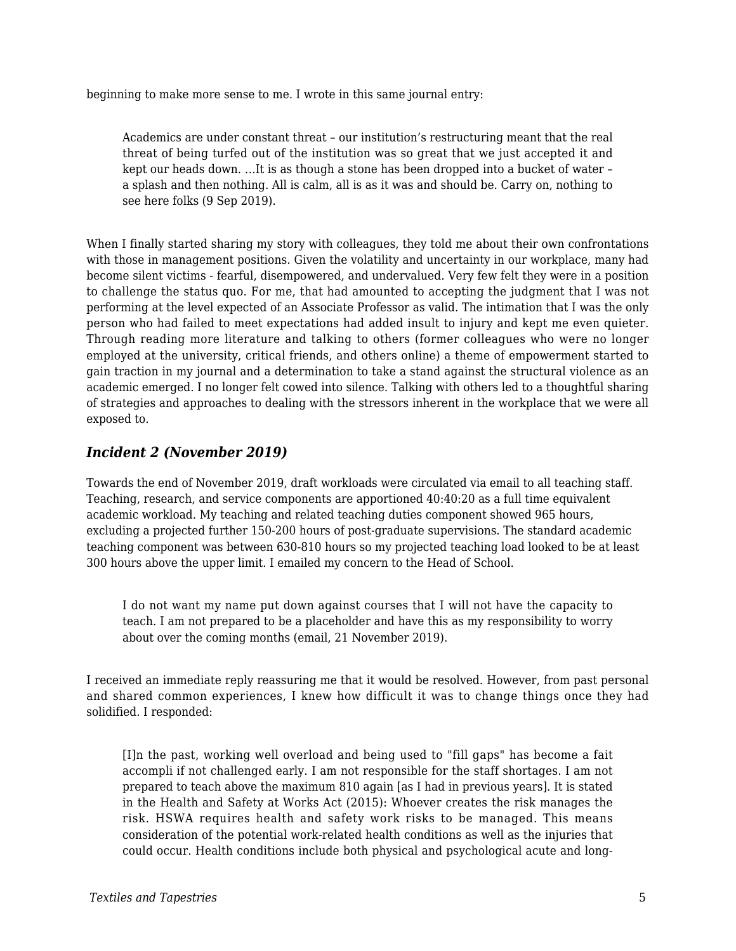beginning to make more sense to me. I wrote in this same journal entry:

Academics are under constant threat – our institution's restructuring meant that the real threat of being turfed out of the institution was so great that we just accepted it and kept our heads down. …It is as though a stone has been dropped into a bucket of water – a splash and then nothing. All is calm, all is as it was and should be. Carry on, nothing to see here folks (9 Sep 2019).

When I finally started sharing my story with colleagues, they told me about their own confrontations with those in management positions. Given the volatility and uncertainty in our workplace, many had become silent victims - fearful, disempowered, and undervalued. Very few felt they were in a position to challenge the status quo. For me, that had amounted to accepting the judgment that I was not performing at the level expected of an Associate Professor as valid. The intimation that I was the only person who had failed to meet expectations had added insult to injury and kept me even quieter. Through reading more literature and talking to others (former colleagues who were no longer employed at the university, critical friends, and others online) a theme of empowerment started to gain traction in my journal and a determination to take a stand against the structural violence as an academic emerged. I no longer felt cowed into silence. Talking with others led to a thoughtful sharing of strategies and approaches to dealing with the stressors inherent in the workplace that we were all exposed to.

#### *Incident 2 (November 2019)*

Towards the end of November 2019, draft workloads were circulated via email to all teaching staff. Teaching, research, and service components are apportioned 40:40:20 as a full time equivalent academic workload. My teaching and related teaching duties component showed 965 hours, excluding a projected further 150-200 hours of post-graduate supervisions. The standard academic teaching component was between 630-810 hours so my projected teaching load looked to be at least 300 hours above the upper limit. I emailed my concern to the Head of School.

I do not want my name put down against courses that I will not have the capacity to teach. I am not prepared to be a placeholder and have this as my responsibility to worry about over the coming months (email, 21 November 2019).

I received an immediate reply reassuring me that it would be resolved. However, from past personal and shared common experiences, I knew how difficult it was to change things once they had solidified. I responded:

[I]n the past, working well overload and being used to "fill gaps" has become a fait accompli if not challenged early. I am not responsible for the staff shortages. I am not prepared to teach above the maximum 810 again [as I had in previous years]. It is stated in the Health and Safety at Works Act (2015): Whoever creates the risk manages the risk. HSWA requires health and safety work risks to be managed. This means consideration of the potential work-related health conditions as well as the injuries that could occur. Health conditions include both physical and psychological acute and long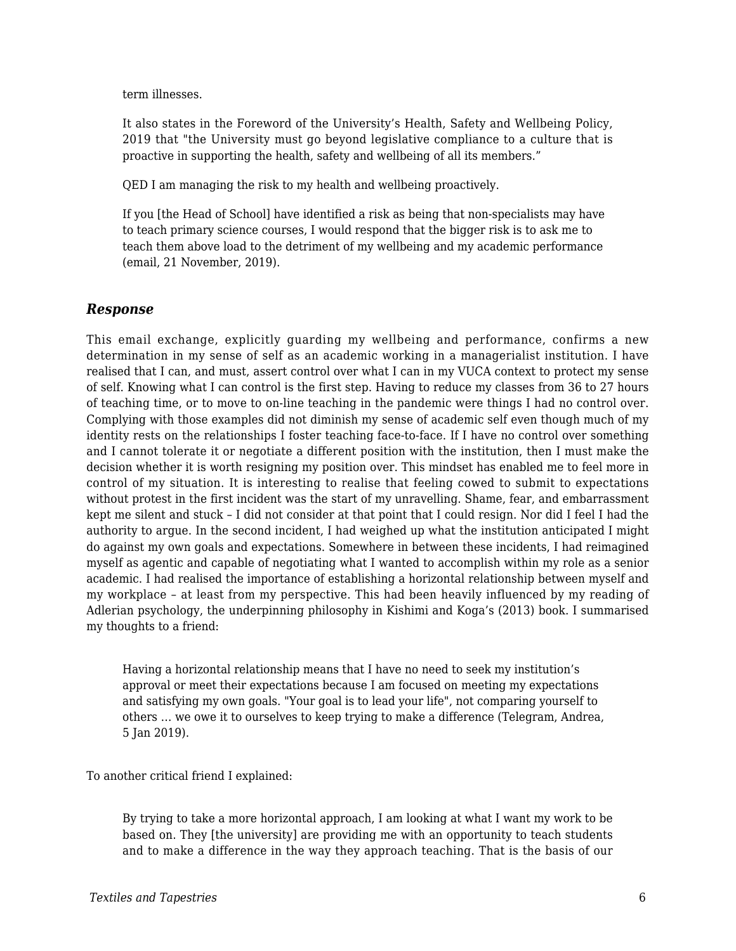term illnesses.

It also states in the Foreword of the University's Health, Safety and Wellbeing Policy, 2019 that "the University must go beyond legislative compliance to a culture that is proactive in supporting the health, safety and wellbeing of all its members."

QED I am managing the risk to my health and wellbeing proactively.

If you [the Head of School] have identified a risk as being that non-specialists may have to teach primary science courses, I would respond that the bigger risk is to ask me to teach them above load to the detriment of my wellbeing and my academic performance (email, 21 November, 2019).

#### *Response*

This email exchange, explicitly guarding my wellbeing and performance, confirms a new determination in my sense of self as an academic working in a managerialist institution. I have realised that I can, and must, assert control over what I can in my VUCA context to protect my sense of self. Knowing what I can control is the first step. Having to reduce my classes from 36 to 27 hours of teaching time, or to move to on-line teaching in the pandemic were things I had no control over. Complying with those examples did not diminish my sense of academic self even though much of my identity rests on the relationships I foster teaching face-to-face. If I have no control over something and I cannot tolerate it or negotiate a different position with the institution, then I must make the decision whether it is worth resigning my position over. This mindset has enabled me to feel more in control of my situation. It is interesting to realise that feeling cowed to submit to expectations without protest in the first incident was the start of my unravelling. Shame, fear, and embarrassment kept me silent and stuck – I did not consider at that point that I could resign. Nor did I feel I had the authority to argue. In the second incident, I had weighed up what the institution anticipated I might do against my own goals and expectations. Somewhere in between these incidents, I had reimagined myself as agentic and capable of negotiating what I wanted to accomplish within my role as a senior academic. I had realised the importance of establishing a horizontal relationship between myself and my workplace – at least from my perspective. This had been heavily influenced by my reading of Adlerian psychology, the underpinning philosophy in Kishimi and Koga's (2013) book. I summarised my thoughts to a friend:

Having a horizontal relationship means that I have no need to seek my institution's approval or meet their expectations because I am focused on meeting my expectations and satisfying my own goals. "Your goal is to lead your life", not comparing yourself to others … we owe it to ourselves to keep trying to make a difference (Telegram, Andrea, 5 Jan 2019).

To another critical friend I explained:

By trying to take a more horizontal approach, I am looking at what I want my work to be based on. They [the university] are providing me with an opportunity to teach students and to make a difference in the way they approach teaching. That is the basis of our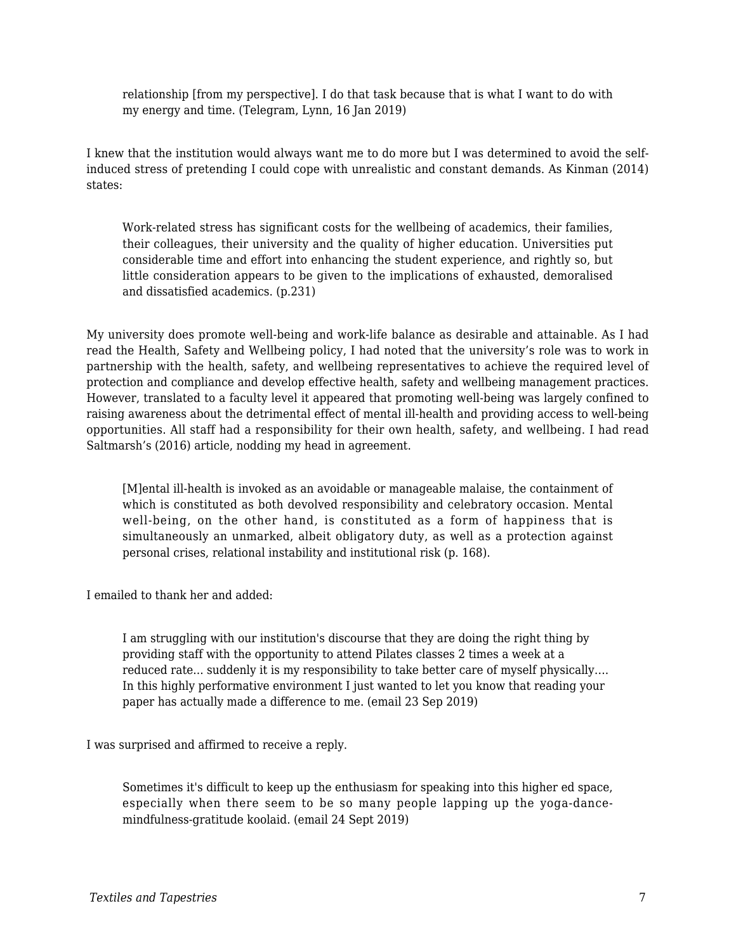relationship [from my perspective]. I do that task because that is what I want to do with my energy and time. (Telegram, Lynn, 16 Jan 2019)

I knew that the institution would always want me to do more but I was determined to avoid the selfinduced stress of pretending I could cope with unrealistic and constant demands. As Kinman (2014) states:

Work-related stress has significant costs for the wellbeing of academics, their families, their colleagues, their university and the quality of higher education. Universities put considerable time and effort into enhancing the student experience, and rightly so, but little consideration appears to be given to the implications of exhausted, demoralised and dissatisfied academics. (p.231)

My university does promote well-being and work-life balance as desirable and attainable. As I had read the Health, Safety and Wellbeing policy, I had noted that the university's role was to work in partnership with the health, safety, and wellbeing representatives to achieve the required level of protection and compliance and develop effective health, safety and wellbeing management practices. However, translated to a faculty level it appeared that promoting well-being was largely confined to raising awareness about the detrimental effect of mental ill-health and providing access to well-being opportunities. All staff had a responsibility for their own health, safety, and wellbeing. I had read Saltmarsh's (2016) article, nodding my head in agreement.

[M]ental ill-health is invoked as an avoidable or manageable malaise, the containment of which is constituted as both devolved responsibility and celebratory occasion. Mental well-being, on the other hand, is constituted as a form of happiness that is simultaneously an unmarked, albeit obligatory duty, as well as a protection against personal crises, relational instability and institutional risk (p. 168).

I emailed to thank her and added:

I am struggling with our institution's discourse that they are doing the right thing by providing staff with the opportunity to attend Pilates classes 2 times a week at a reduced rate... suddenly it is my responsibility to take better care of myself physically…. In this highly performative environment I just wanted to let you know that reading your paper has actually made a difference to me. (email 23 Sep 2019)

I was surprised and affirmed to receive a reply.

Sometimes it's difficult to keep up the enthusiasm for speaking into this higher ed space, especially when there seem to be so many people lapping up the yoga-dancemindfulness-gratitude koolaid. (email 24 Sept 2019)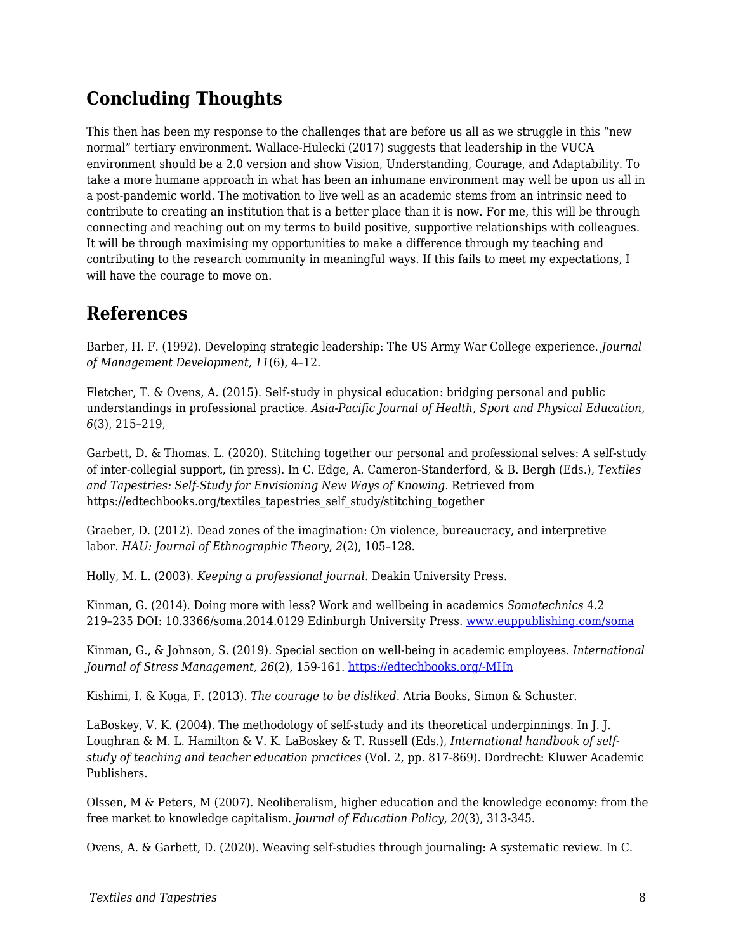## **Concluding Thoughts**

This then has been my response to the challenges that are before us all as we struggle in this "new normal" tertiary environment. Wallace-Hulecki (2017) suggests that leadership in the VUCA environment should be a 2.0 version and show Vision, Understanding, Courage, and Adaptability. To take a more humane approach in what has been an inhumane environment may well be upon us all in a post-pandemic world. The motivation to live well as an academic stems from an intrinsic need to contribute to creating an institution that is a better place than it is now. For me, this will be through connecting and reaching out on my terms to build positive, supportive relationships with colleagues. It will be through maximising my opportunities to make a difference through my teaching and contributing to the research community in meaningful ways. If this fails to meet my expectations, I will have the courage to move on.

### **References**

Barber, H. F. (1992). Developing strategic leadership: The US Army War College experience. *Journal of Management Development, 11*(6), 4–12.

Fletcher, T. & Ovens, A. (2015). Self-study in physical education: bridging personal and public understandings in professional practice. *Asia-Pacific Journal of Health, Sport and Physical Education, 6*(3), 215–219,

Garbett, D. & Thomas. L. (2020). Stitching together our personal and professional selves: A self-study of inter-collegial support, (in press). In C. Edge, A. Cameron-Standerford, & B. Bergh (Eds.), *Textiles and Tapestries: Self-Study for Envisioning New Ways of Knowing*. Retrieved from https://edtechbooks.org/textiles\_tapestries\_self\_study/stitching\_together

Graeber, D. (2012). Dead zones of the imagination: On violence, bureaucracy, and interpretive labor. *HAU: Journal of Ethnographic Theory*, *2*(2), 105–128.

Holly, M. L. (2003). *Keeping a professional journal.* Deakin University Press.

Kinman, G. (2014). Doing more with less? Work and wellbeing in academics *Somatechnics* 4.2 219–235 DOI: 10.3366/soma.2014.0129 Edinburgh University Press. [www.euppublishing.com/soma](http://www.euppublishing.com/soma)

Kinman, G., & Johnson, S. (2019). Special section on well-being in academic employees. *International Journal of Stress Management, 26*(2), 159-161. [https://edtechbooks.org/-MHn](https://psycnet.apa.org/fulltext/2019-24245-001.html)

Kishimi, I. & Koga, F. (2013). *The courage to be disliked.* Atria Books, Simon & Schuster.

LaBoskey, V. K. (2004). The methodology of self-study and its theoretical underpinnings. In J. J. Loughran & M. L. Hamilton & V. K. LaBoskey & T. Russell (Eds.), *International handbook of selfstudy of teaching and teacher education practices* (Vol. 2, pp. 817-869). Dordrecht: Kluwer Academic Publishers.

Olssen, M & Peters, M (2007). Neoliberalism, higher education and the knowledge economy: from the free market to knowledge capitalism. *Journal of Education Policy*, *20*(3), 313-345.

Ovens, A. & Garbett, D. (2020). Weaving self-studies through journaling: A systematic review. In C.